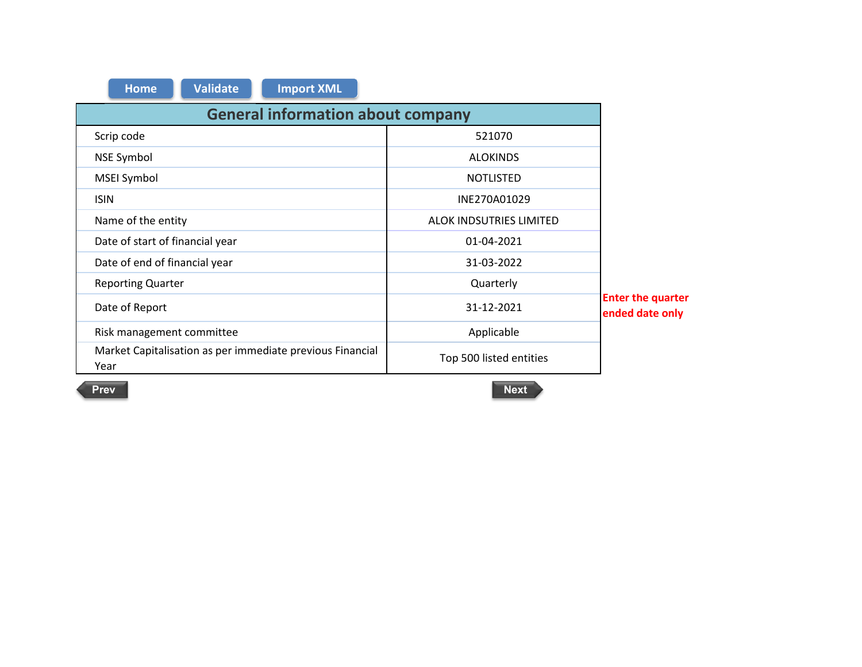| <b>Import XML</b><br><b>Validate</b><br><b>Home</b>               |                         |                                             |  |  |  |  |  |  |  |  |  |
|-------------------------------------------------------------------|-------------------------|---------------------------------------------|--|--|--|--|--|--|--|--|--|
| <b>General information about company</b>                          |                         |                                             |  |  |  |  |  |  |  |  |  |
| Scrip code                                                        | 521070                  |                                             |  |  |  |  |  |  |  |  |  |
| NSE Symbol                                                        | <b>ALOKINDS</b>         |                                             |  |  |  |  |  |  |  |  |  |
| <b>MSEI Symbol</b>                                                | <b>NOTLISTED</b>        |                                             |  |  |  |  |  |  |  |  |  |
| <b>ISIN</b>                                                       | INE270A01029            |                                             |  |  |  |  |  |  |  |  |  |
| Name of the entity                                                | ALOK INDSUTRIES LIMITED |                                             |  |  |  |  |  |  |  |  |  |
| Date of start of financial year                                   | 01-04-2021              |                                             |  |  |  |  |  |  |  |  |  |
| Date of end of financial year                                     | 31-03-2022              |                                             |  |  |  |  |  |  |  |  |  |
| <b>Reporting Quarter</b>                                          | Quarterly               |                                             |  |  |  |  |  |  |  |  |  |
| Date of Report                                                    | 31-12-2021              | <b>Enter the quarter</b><br>ended date only |  |  |  |  |  |  |  |  |  |
| Risk management committee                                         | Applicable              |                                             |  |  |  |  |  |  |  |  |  |
| Market Capitalisation as per immediate previous Financial<br>Year | Top 500 listed entities |                                             |  |  |  |  |  |  |  |  |  |

**Prev**

 $\sim$ 

 $\sim$ 

**Next Next Next Next Next Next Next**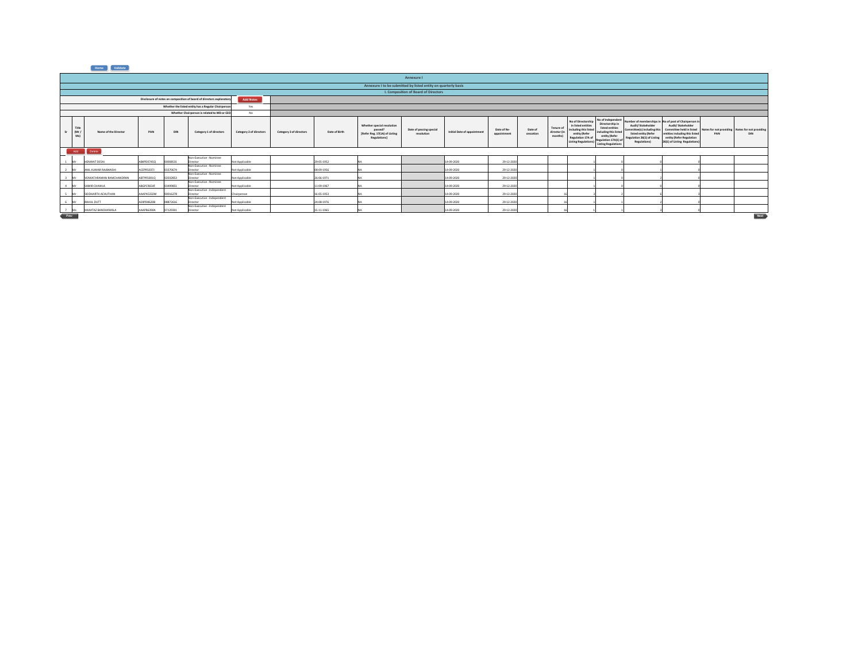|          | Annexure I           |                          |            |          |                                                                      |                         |                         |               |                                                                                              |                                                                |                             |                            |                      |                                      |                                                                                                                                     |                                                                                                                                                        |                                                                                                                                |                                                                                                                                                                                                       |     |                                                               |
|----------|----------------------|--------------------------|------------|----------|----------------------------------------------------------------------|-------------------------|-------------------------|---------------|----------------------------------------------------------------------------------------------|----------------------------------------------------------------|-----------------------------|----------------------------|----------------------|--------------------------------------|-------------------------------------------------------------------------------------------------------------------------------------|--------------------------------------------------------------------------------------------------------------------------------------------------------|--------------------------------------------------------------------------------------------------------------------------------|-------------------------------------------------------------------------------------------------------------------------------------------------------------------------------------------------------|-----|---------------------------------------------------------------|
|          |                      |                          |            |          |                                                                      |                         |                         |               |                                                                                              | Annexure I to be submitted by listed entity on quarterly basis |                             |                            |                      |                                      |                                                                                                                                     |                                                                                                                                                        |                                                                                                                                |                                                                                                                                                                                                       |     |                                                               |
|          |                      |                          |            |          |                                                                      |                         |                         |               |                                                                                              | I. Composition of Board of Directors                           |                             |                            |                      |                                      |                                                                                                                                     |                                                                                                                                                        |                                                                                                                                |                                                                                                                                                                                                       |     |                                                               |
|          |                      |                          |            |          | Disclosure of notes on composition of board of directors explanatory | <b>Add Notes</b>        |                         |               |                                                                                              |                                                                |                             |                            |                      |                                      |                                                                                                                                     |                                                                                                                                                        |                                                                                                                                |                                                                                                                                                                                                       |     |                                                               |
|          |                      |                          |            |          | Whether the listed entity has a Regular Chairperson                  | Yes                     |                         |               |                                                                                              |                                                                |                             |                            |                      |                                      |                                                                                                                                     |                                                                                                                                                        |                                                                                                                                |                                                                                                                                                                                                       |     |                                                               |
|          |                      |                          |            |          | Whether Chairperson is related to MD or CEO                          | No                      |                         |               |                                                                                              |                                                                |                             |                            |                      |                                      |                                                                                                                                     |                                                                                                                                                        |                                                                                                                                |                                                                                                                                                                                                       |     |                                                               |
|          | Title<br>(Mr/<br>Msl | Name of the Director     | PAN        | DIN      | Category 1 of directors                                              | Category 2 of directors | Category 3 of directors | Date of Birth | Whether special resolution<br>passed?<br>[Refer Reg. 17(1A) of Listing<br><b>Regulations</b> | Date of passing special<br>resolution                          | Initial Date of appointment | Date of Re-<br>appointment | Date of<br>cessation | Tenure of<br>director (in<br>months) | No of Directorship<br>in listed entities<br>including this lister<br>entity (Refer<br>Regulation 17A of<br><b>Listing Regulatio</b> | No of Independer<br>Directorship in<br>listed entities<br>including this listed<br>entity (Refer<br>Regulation 17A(1) of<br><b>Listing Regulations</b> | Audit/ Stakeholder<br>Committee(s) including this<br>listed entity (Refer<br>Regulation 26(1) of Listing<br><b>Regulations</b> | Number of memberships in No of post of Chairperson in<br>Audit/Stakeholder<br>Committee held in listed<br>entities including this listed<br>entity (Refer Regulation<br>26(1) of Listing Regulations) | PAN | Notes for not providing Notes for not providing<br><b>DIN</b> |
|          | Add                  | Delete                   |            |          |                                                                      |                         |                         |               |                                                                                              |                                                                |                             |                            |                      |                                      |                                                                                                                                     |                                                                                                                                                        |                                                                                                                                |                                                                                                                                                                                                       |     |                                                               |
|          |                      | HEMANT DESAI             | ABKPD0745Q | 00008531 | Non-Executive - Nominee<br>Director                                  | ot Applicable           |                         | 29-05-1952    |                                                                                              |                                                                | 14-09-2020                  | 29-12-202                  |                      |                                      |                                                                                                                                     |                                                                                                                                                        |                                                                                                                                |                                                                                                                                                                                                       |     |                                                               |
|          |                      | ANIL KUMAR RAJBANSHI     | ACEPRS037J | 03370674 | Non-Executive - Nominee<br>Director                                  | Not Applicable          |                         | 08-09-1956    |                                                                                              |                                                                | 14-09-2020                  | 29-12-202                  |                      |                                      |                                                                                                                                     |                                                                                                                                                        |                                                                                                                                |                                                                                                                                                                                                       |     |                                                               |
|          |                      | VENKATARAMAN RAMCHANDRAN | ABTPR5001Q | 02032853 | Non-Executive - Nominee<br>Director                                  | Not Applicable          |                         | 26-06-1971    |                                                                                              |                                                                | 14-09-2020                  | 29-12-2020                 |                      |                                      |                                                                                                                                     |                                                                                                                                                        |                                                                                                                                |                                                                                                                                                                                                       |     |                                                               |
| $\Delta$ | M.C.                 | SAMIR CHAWLA             | ABGPC9654F | 03499851 | Non-Executive - Nominee<br>Director                                  | Not Applicable          |                         | 11-09-1967    |                                                                                              |                                                                | 14-09-2020                  | 29-12-2020                 |                      |                                      |                                                                                                                                     |                                                                                                                                                        |                                                                                                                                |                                                                                                                                                                                                       |     |                                                               |
|          | <b>BACK</b>          | SIDDHARTH ACHUTHAN       | AAAPAS332M | 00016278 | Non-Executive - Independent<br>Director                              | Chairperson             |                         | 16-05-1953    |                                                                                              |                                                                | 14-09-2020                  | 29-12-202                  |                      |                                      |                                                                                                                                     |                                                                                                                                                        |                                                                                                                                |                                                                                                                                                                                                       |     |                                                               |
| 6 Mr     |                      | RAHUL DUTT               | AEKPD8620B | 08872616 | Non-Executive - Independent<br>Director                              | Not Applicable          |                         | 24-08-1976    |                                                                                              |                                                                | 14-09-2020                  | 29-12-202                  |                      |                                      |                                                                                                                                     |                                                                                                                                                        |                                                                                                                                |                                                                                                                                                                                                       |     |                                                               |
|          |                      | MUMTAZ BANDUKWALA        | AGGRESSON  | 07129301 | Non-Executive - Independent<br>Director                              | Not Applicable          |                         | 15-11-1965    |                                                                                              |                                                                | 14-09-2020                  | 29-12-2020                 |                      |                                      |                                                                                                                                     |                                                                                                                                                        |                                                                                                                                |                                                                                                                                                                                                       |     |                                                               |
| Prev     |                      |                          |            |          |                                                                      |                         |                         |               |                                                                                              |                                                                |                             |                            |                      |                                      |                                                                                                                                     |                                                                                                                                                        |                                                                                                                                |                                                                                                                                                                                                       |     | Next                                                          |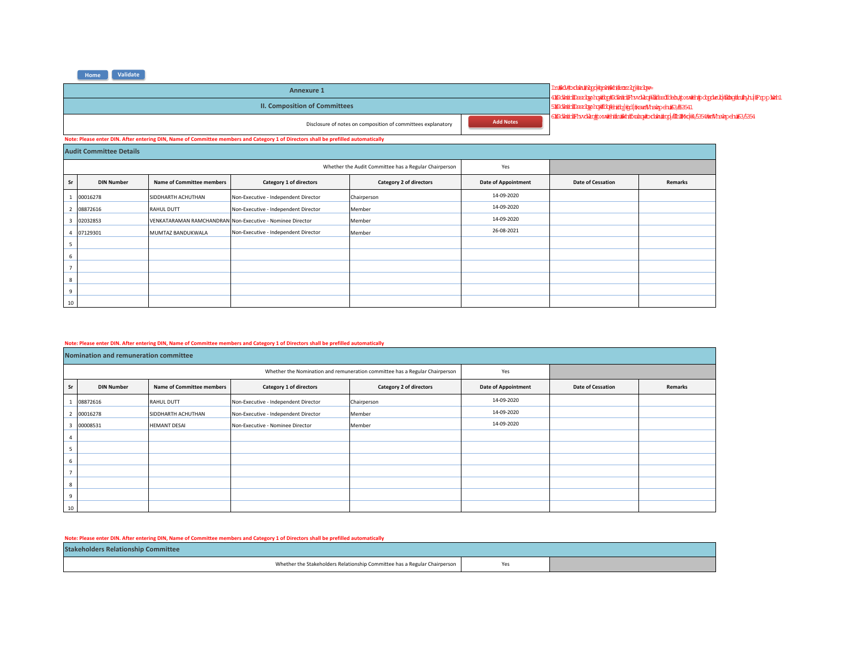|                                |                                                                                                                                                              |                                  | In#Ri#xdin#ilpp#pih#kh#xozbj#silpv=<br>41#231/http://www.http://www.http://www.http://www.http://www.http?com/http://www.http://www.http:/ |                                                        |                            |                   |         |  |  |  |  |
|--------------------------------|--------------------------------------------------------------------------------------------------------------------------------------------------------------|----------------------------------|--------------------------------------------------------------------------------------------------------------------------------------------|--------------------------------------------------------|----------------------------|-------------------|---------|--|--|--|--|
|                                |                                                                                                                                                              |                                  | <b>II. Composition of Committees</b>                                                                                                       | 5#2db##Dasadpphop#Ed;#b#bp#pd #sar#Ansigpeh;#63;#53541 |                            |                   |         |  |  |  |  |
|                                | 6#8dlat##Prxdlac#pxw#Han#kHzhahowtxdbh#cp #En#4d#45354#a#Ahslapeh#635594<br><b>Add Notes</b><br>Disclosure of notes on composition of committees explanatory |                                  |                                                                                                                                            |                                                        |                            |                   |         |  |  |  |  |
|                                |                                                                                                                                                              |                                  | Note: Please enter DIN. After entering DIN, Name of Committee members and Category 1 of Directors shall be prefilled automatically         |                                                        |                            |                   |         |  |  |  |  |
| <b>Audit Committee Details</b> |                                                                                                                                                              |                                  |                                                                                                                                            |                                                        |                            |                   |         |  |  |  |  |
|                                | Whether the Audit Committee has a Regular Chairperson<br>Yes                                                                                                 |                                  |                                                                                                                                            |                                                        |                            |                   |         |  |  |  |  |
| Sr                             | <b>DIN Number</b>                                                                                                                                            | <b>Name of Committee members</b> | Category 1 of directors                                                                                                                    | Category 2 of directors                                | <b>Date of Appointment</b> | Date of Cessation | Remarks |  |  |  |  |
|                                | 00016278                                                                                                                                                     | SIDDHARTH ACHUTHAN               | Non-Executive - Independent Director                                                                                                       | Chairperson                                            | 14-09-2020                 |                   |         |  |  |  |  |
| $\overline{\phantom{a}}$       | 08872616                                                                                                                                                     | <b>RAHUL DUTT</b>                | Non-Executive - Independent Director                                                                                                       | Member                                                 | 14-09-2020                 |                   |         |  |  |  |  |
|                                | 02032853                                                                                                                                                     |                                  | VENKATARAMAN RAMCHANDRAN Non-Executive - Nominee Director                                                                                  | Member                                                 | 14-09-2020                 |                   |         |  |  |  |  |
|                                | 07129301                                                                                                                                                     | MUMTAZ BANDUKWALA                | Non-Executive - Independent Director                                                                                                       | Member                                                 | 26-08-2021                 |                   |         |  |  |  |  |
| 5                              |                                                                                                                                                              |                                  |                                                                                                                                            |                                                        |                            |                   |         |  |  |  |  |
| 6                              |                                                                                                                                                              |                                  |                                                                                                                                            |                                                        |                            |                   |         |  |  |  |  |
| $\overline{7}$                 |                                                                                                                                                              |                                  |                                                                                                                                            |                                                        |                            |                   |         |  |  |  |  |
|                                | 8                                                                                                                                                            |                                  |                                                                                                                                            |                                                        |                            |                   |         |  |  |  |  |
| 9                              |                                                                                                                                                              |                                  |                                                                                                                                            |                                                        |                            |                   |         |  |  |  |  |
| 10                             |                                                                                                                                                              |                                  |                                                                                                                                            |                                                        |                            |                   |         |  |  |  |  |

## Note: Please enter DIN. After entering DIN, Name of Committee members and Category 1 of Directors shall be prefilled automatically

|                | Nomination and remuneration committee |                                  |                                                                             |                                |                            |                          |         |  |  |  |  |  |
|----------------|---------------------------------------|----------------------------------|-----------------------------------------------------------------------------|--------------------------------|----------------------------|--------------------------|---------|--|--|--|--|--|
|                |                                       |                                  | Whether the Nomination and remuneration committee has a Regular Chairperson | Yes                            |                            |                          |         |  |  |  |  |  |
| Sr             | <b>DIN Number</b>                     | <b>Name of Committee members</b> | Category 1 of directors                                                     | <b>Category 2 of directors</b> | <b>Date of Appointment</b> | <b>Date of Cessation</b> | Remarks |  |  |  |  |  |
|                | 08872616                              | RAHUL DUTT                       | Non-Executive - Independent Director                                        | Chairperson                    | 14-09-2020                 |                          |         |  |  |  |  |  |
|                | 00016278                              | SIDDHARTH ACHUTHAN               | Non-Executive - Independent Director                                        | Member                         | 14-09-2020                 |                          |         |  |  |  |  |  |
| ž              | 00008531                              | <b>HEMANT DESAI</b>              | Non-Executive - Nominee Director                                            | Member                         | 14-09-2020                 |                          |         |  |  |  |  |  |
| 4              |                                       |                                  |                                                                             |                                |                            |                          |         |  |  |  |  |  |
| 5              |                                       |                                  |                                                                             |                                |                            |                          |         |  |  |  |  |  |
| 6              |                                       |                                  |                                                                             |                                |                            |                          |         |  |  |  |  |  |
| $\overline{ }$ |                                       |                                  |                                                                             |                                |                            |                          |         |  |  |  |  |  |
| 8              |                                       |                                  |                                                                             |                                |                            |                          |         |  |  |  |  |  |
| 9              |                                       |                                  |                                                                             |                                |                            |                          |         |  |  |  |  |  |
| 10             |                                       |                                  |                                                                             |                                |                            |                          |         |  |  |  |  |  |

Note: Please enter DIN. After entering DIN, Name of Committee members and Category 1 of Directors shall be prefilled automatically

| <b>Stakeholders Relationship Committee</b>                                |  |
|---------------------------------------------------------------------------|--|
| Whether the Stakeholders Relationship Committee has a Regular Chairperson |  |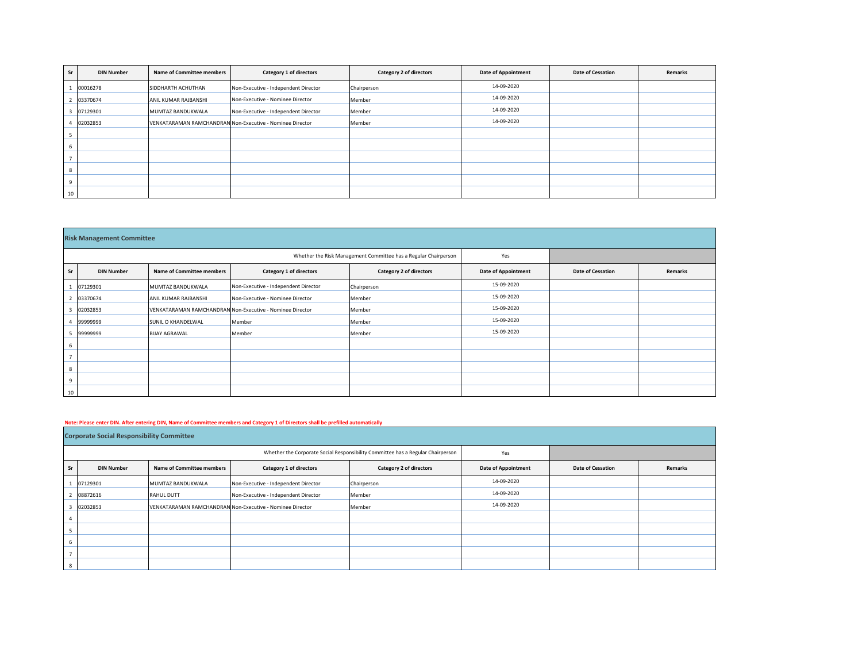| <b>Sr</b>      | <b>DIN Number</b> | <b>Name of Committee members</b> | Category 1 of directors                                   | Category 2 of directors | <b>Date of Appointment</b> | Date of Cessation | Remarks |
|----------------|-------------------|----------------------------------|-----------------------------------------------------------|-------------------------|----------------------------|-------------------|---------|
|                | 00016278          | SIDDHARTH ACHUTHAN               | Non-Executive - Independent Director                      | Chairperson             | 14-09-2020                 |                   |         |
| $\overline{2}$ | 03370674          | ANIL KUMAR RAJBANSHI             | Non-Executive - Nominee Director                          | Member                  | 14-09-2020                 |                   |         |
| Е              | 07129301          | MUMTAZ BANDUKWALA                | Non-Executive - Independent Director                      | Member                  | 14-09-2020                 |                   |         |
|                | 02032853          |                                  | VENKATARAMAN RAMCHANDRAN Non-Executive - Nominee Director | Member                  | 14-09-2020                 |                   |         |
| 5              |                   |                                  |                                                           |                         |                            |                   |         |
| 6              |                   |                                  |                                                           |                         |                            |                   |         |
| $\overline{7}$ |                   |                                  |                                                           |                         |                            |                   |         |
| 8              |                   |                                  |                                                           |                         |                            |                   |         |
| 9              |                   |                                  |                                                           |                         |                            |                   |         |
| 10             |                   |                                  |                                                           |                         |                            |                   |         |

|                | <b>Risk Management Committee</b> |                                  |                                                                 |                         |                            |                          |         |  |  |  |  |  |  |
|----------------|----------------------------------|----------------------------------|-----------------------------------------------------------------|-------------------------|----------------------------|--------------------------|---------|--|--|--|--|--|--|
|                |                                  |                                  | Whether the Risk Management Committee has a Regular Chairperson | Yes                     |                            |                          |         |  |  |  |  |  |  |
| Sr             | <b>DIN Number</b>                | <b>Name of Committee members</b> | Category 1 of directors                                         | Category 2 of directors | <b>Date of Appointment</b> | <b>Date of Cessation</b> | Remarks |  |  |  |  |  |  |
|                | 07129301                         | MUMTAZ BANDUKWALA                | Non-Executive - Independent Director                            | Chairperson             | 15-09-2020                 |                          |         |  |  |  |  |  |  |
|                | 03370674                         | ANIL KUMAR RAJBANSHI             | Non-Executive - Nominee Director                                | Member                  | 15-09-2020                 |                          |         |  |  |  |  |  |  |
| 3              | 02032853                         |                                  | VENKATARAMAN RAMCHANDRAN Non-Executive - Nominee Director       | Member                  | 15-09-2020                 |                          |         |  |  |  |  |  |  |
|                | 99999999                         | SUNIL O KHANDELWAL               | Member                                                          | Member                  | 15-09-2020                 |                          |         |  |  |  |  |  |  |
|                | 99999999                         | <b>BIJAY AGRAWAL</b>             | Member                                                          | Member                  | 15-09-2020                 |                          |         |  |  |  |  |  |  |
| 6              |                                  |                                  |                                                                 |                         |                            |                          |         |  |  |  |  |  |  |
| $\overline{7}$ |                                  |                                  |                                                                 |                         |                            |                          |         |  |  |  |  |  |  |
| 8              |                                  |                                  |                                                                 |                         |                            |                          |         |  |  |  |  |  |  |
| 9              |                                  |                                  |                                                                 |                         |                            |                          |         |  |  |  |  |  |  |
| 10             |                                  |                                  |                                                                 |                         |                            |                          |         |  |  |  |  |  |  |

## Note: Please enter DIN. After entering DIN, Name of Committee members and Category 1 of Directors shall be prefilled automatically

|    | <b>Corporate Social Responsibility Committee</b> |                                  |                                                           |                                                                                 |                            |                          |         |  |  |  |  |  |
|----|--------------------------------------------------|----------------------------------|-----------------------------------------------------------|---------------------------------------------------------------------------------|----------------------------|--------------------------|---------|--|--|--|--|--|
|    |                                                  |                                  |                                                           | Whether the Corporate Social Responsibility Committee has a Regular Chairperson | Yes                        |                          |         |  |  |  |  |  |
| Sr | <b>DIN Number</b>                                | <b>Name of Committee members</b> | Category 1 of directors                                   | Category 2 of directors                                                         | <b>Date of Appointment</b> | <b>Date of Cessation</b> | Remarks |  |  |  |  |  |
|    | 07129301                                         | MUMTAZ BANDUKWALA                | Non-Executive - Independent Director                      | Chairperson                                                                     | 14-09-2020                 |                          |         |  |  |  |  |  |
| -4 | 08872616                                         | <b>RAHUL DUTT</b>                | Non-Executive - Independent Director                      | Member                                                                          | 14-09-2020                 |                          |         |  |  |  |  |  |
| 3  | 02032853                                         |                                  | VENKATARAMAN RAMCHANDRAN Non-Executive - Nominee Director | Member                                                                          | 14-09-2020                 |                          |         |  |  |  |  |  |
|    |                                                  |                                  |                                                           |                                                                                 |                            |                          |         |  |  |  |  |  |
|    |                                                  |                                  |                                                           |                                                                                 |                            |                          |         |  |  |  |  |  |
| 6  |                                                  |                                  |                                                           |                                                                                 |                            |                          |         |  |  |  |  |  |
|    |                                                  |                                  |                                                           |                                                                                 |                            |                          |         |  |  |  |  |  |
| 8  |                                                  |                                  |                                                           |                                                                                 |                            |                          |         |  |  |  |  |  |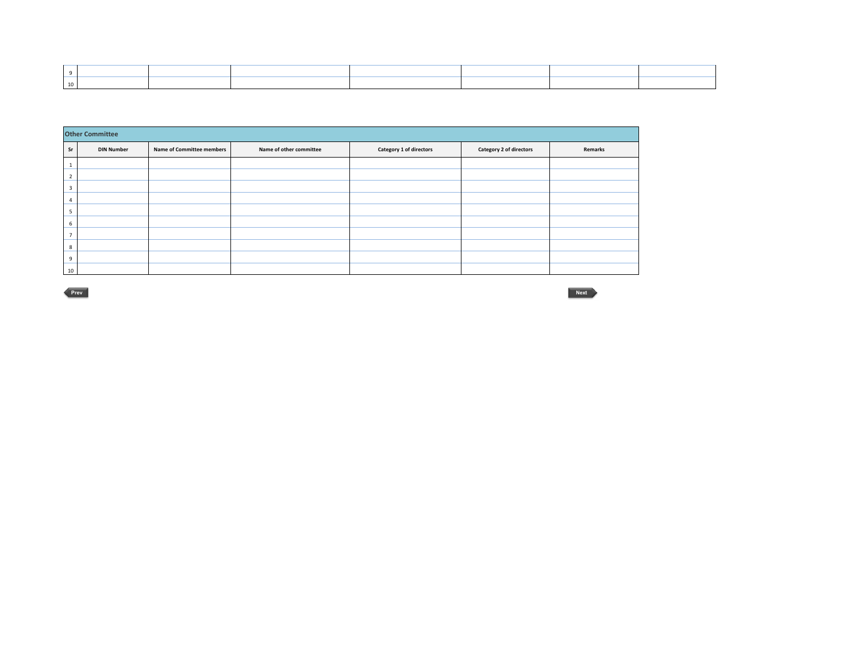|                | <b>Other Committee</b> |                           |                         |                         |                         |         |  |  |  |  |  |  |
|----------------|------------------------|---------------------------|-------------------------|-------------------------|-------------------------|---------|--|--|--|--|--|--|
| Sr             | <b>DIN Number</b>      | Name of Committee members | Name of other committee | Category 1 of directors | Category 2 of directors | Remarks |  |  |  |  |  |  |
|                |                        |                           |                         |                         |                         |         |  |  |  |  |  |  |
| $\overline{2}$ |                        |                           |                         |                         |                         |         |  |  |  |  |  |  |
| 3              |                        |                           |                         |                         |                         |         |  |  |  |  |  |  |
| $\overline{4}$ |                        |                           |                         |                         |                         |         |  |  |  |  |  |  |
| 5              |                        |                           |                         |                         |                         |         |  |  |  |  |  |  |
| 6              |                        |                           |                         |                         |                         |         |  |  |  |  |  |  |
| -              |                        |                           |                         |                         |                         |         |  |  |  |  |  |  |
| 8              |                        |                           |                         |                         |                         |         |  |  |  |  |  |  |
| 9              |                        |                           |                         |                         |                         |         |  |  |  |  |  |  |
| 10             |                        |                           |                         |                         |                         |         |  |  |  |  |  |  |

**Prev**

**Next**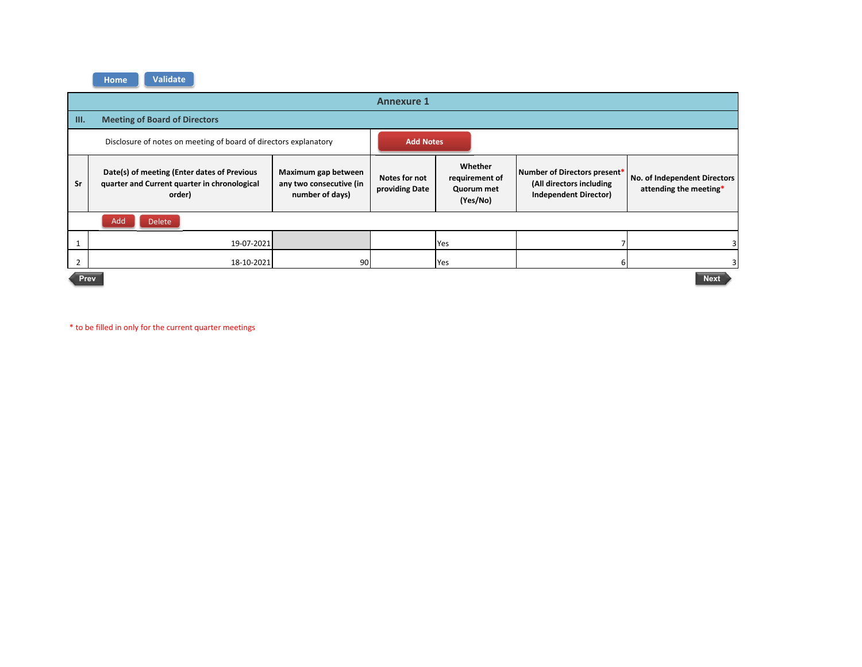|      |                                                                                                                                                                            |    | <b>Annexure 1</b> |                                                     |                                                                                          |                                                        |  |  |  |  |  |
|------|----------------------------------------------------------------------------------------------------------------------------------------------------------------------------|----|-------------------|-----------------------------------------------------|------------------------------------------------------------------------------------------|--------------------------------------------------------|--|--|--|--|--|
| III. | <b>Meeting of Board of Directors</b>                                                                                                                                       |    |                   |                                                     |                                                                                          |                                                        |  |  |  |  |  |
|      | Disclosure of notes on meeting of board of directors explanatory                                                                                                           |    | <b>Add Notes</b>  |                                                     |                                                                                          |                                                        |  |  |  |  |  |
| Sr   | Date(s) of meeting (Enter dates of Previous<br>Maximum gap between<br>any two consecutive (in<br>quarter and Current quarter in chronological<br>number of days)<br>order) |    |                   | Whether<br>requirement of<br>Quorum met<br>(Yes/No) | Number of Directors present*<br>(All directors including<br><b>Independent Director)</b> | No. of Independent Directors<br>attending the meeting* |  |  |  |  |  |
|      | Add<br><b>Delete</b>                                                                                                                                                       |    |                   |                                                     |                                                                                          |                                                        |  |  |  |  |  |
|      | 19-07-2021                                                                                                                                                                 |    |                   | Yes                                                 |                                                                                          |                                                        |  |  |  |  |  |
|      | 18-10-2021                                                                                                                                                                 | 90 |                   | Yes                                                 | 6                                                                                        |                                                        |  |  |  |  |  |
|      | <b>Next</b><br>Prev                                                                                                                                                        |    |                   |                                                     |                                                                                          |                                                        |  |  |  |  |  |

\* to be filled in only for the current quarter meetings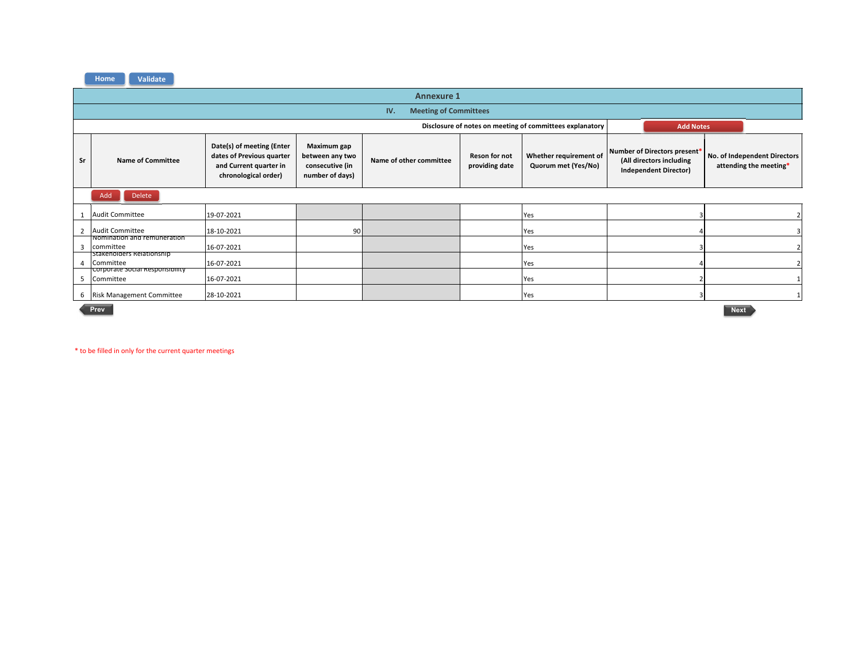

|    | <b>Annexure 1</b>                                                            |                                                                                                          |                                                                             |                         |                                        |                                               |                                                                                          |                                                        |  |  |  |
|----|------------------------------------------------------------------------------|----------------------------------------------------------------------------------------------------------|-----------------------------------------------------------------------------|-------------------------|----------------------------------------|-----------------------------------------------|------------------------------------------------------------------------------------------|--------------------------------------------------------|--|--|--|
|    | <b>Meeting of Committees</b><br>IV.                                          |                                                                                                          |                                                                             |                         |                                        |                                               |                                                                                          |                                                        |  |  |  |
|    | Disclosure of notes on meeting of committees explanatory<br><b>Add Notes</b> |                                                                                                          |                                                                             |                         |                                        |                                               |                                                                                          |                                                        |  |  |  |
| Sr | <b>Name of Committee</b>                                                     | Date(s) of meeting (Enter<br>dates of Previous quarter<br>and Current quarter in<br>chronological order) | <b>Maximum gap</b><br>between any two<br>consecutive (in<br>number of days) | Name of other committee | <b>Reson for not</b><br>providing date | Whether requirement of<br>Quorum met (Yes/No) | Number of Directors present*<br>(All directors including<br><b>Independent Director)</b> | No. of Independent Directors<br>attending the meeting* |  |  |  |
|    | Delete<br>Add                                                                |                                                                                                          |                                                                             |                         |                                        |                                               |                                                                                          |                                                        |  |  |  |
|    | <b>Audit Committee</b>                                                       | 19-07-2021                                                                                               |                                                                             |                         |                                        | Yes                                           |                                                                                          |                                                        |  |  |  |
|    | <b>Audit Committee</b>                                                       | 18-10-2021                                                                                               | 90                                                                          |                         |                                        | Yes                                           |                                                                                          |                                                        |  |  |  |
| В  | inomination and remuneration<br>committee                                    | 16-07-2021                                                                                               |                                                                             |                         |                                        | Yes                                           |                                                                                          |                                                        |  |  |  |
| 4  | Stakeholders Relationship<br>Committee                                       | 16-07-2021                                                                                               |                                                                             |                         |                                        | Yes                                           |                                                                                          |                                                        |  |  |  |
| -5 | Corporate Social Responsibility<br>Committee                                 | 16-07-2021                                                                                               |                                                                             |                         |                                        | Yes                                           |                                                                                          |                                                        |  |  |  |
|    | 6 Risk Management Committee                                                  | 28-10-2021                                                                                               |                                                                             |                         |                                        | Yes                                           |                                                                                          |                                                        |  |  |  |
|    | Prev                                                                         |                                                                                                          |                                                                             |                         |                                        |                                               |                                                                                          | <b>Next</b>                                            |  |  |  |

 **Next**Next >

\* to be filled in only for the current quarter meetings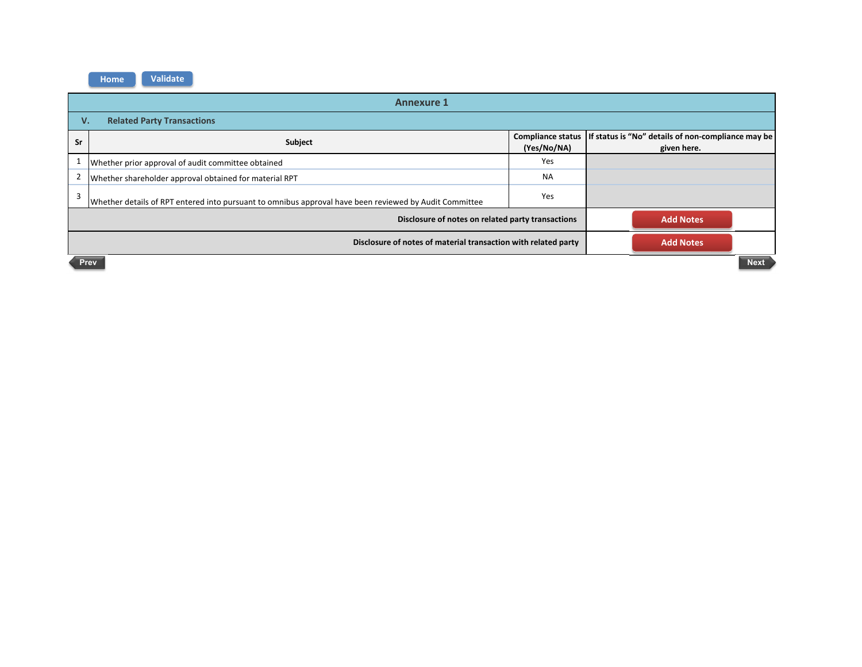| <b>Annexure 1</b>                                                                  |                                                                                                        |                  |                                                                                       |  |  |  |
|------------------------------------------------------------------------------------|--------------------------------------------------------------------------------------------------------|------------------|---------------------------------------------------------------------------------------|--|--|--|
| <b>Related Party Transactions</b><br>V.                                            |                                                                                                        |                  |                                                                                       |  |  |  |
| Sr                                                                                 | Subject                                                                                                | (Yes/No/NA)      | Compliance status   If status is "No" details of non-compliance may be<br>given here. |  |  |  |
|                                                                                    | Whether prior approval of audit committee obtained                                                     | Yes              |                                                                                       |  |  |  |
| 2                                                                                  | Whether shareholder approval obtained for material RPT                                                 | <b>NA</b>        |                                                                                       |  |  |  |
| 3                                                                                  | Whether details of RPT entered into pursuant to omnibus approval have been reviewed by Audit Committee | Yes              |                                                                                       |  |  |  |
|                                                                                    | Disclosure of notes on related party transactions                                                      | <b>Add Notes</b> |                                                                                       |  |  |  |
| Disclosure of notes of material transaction with related party<br><b>Add Notes</b> |                                                                                                        |                  |                                                                                       |  |  |  |
| <b>Next</b><br>Prev                                                                |                                                                                                        |                  |                                                                                       |  |  |  |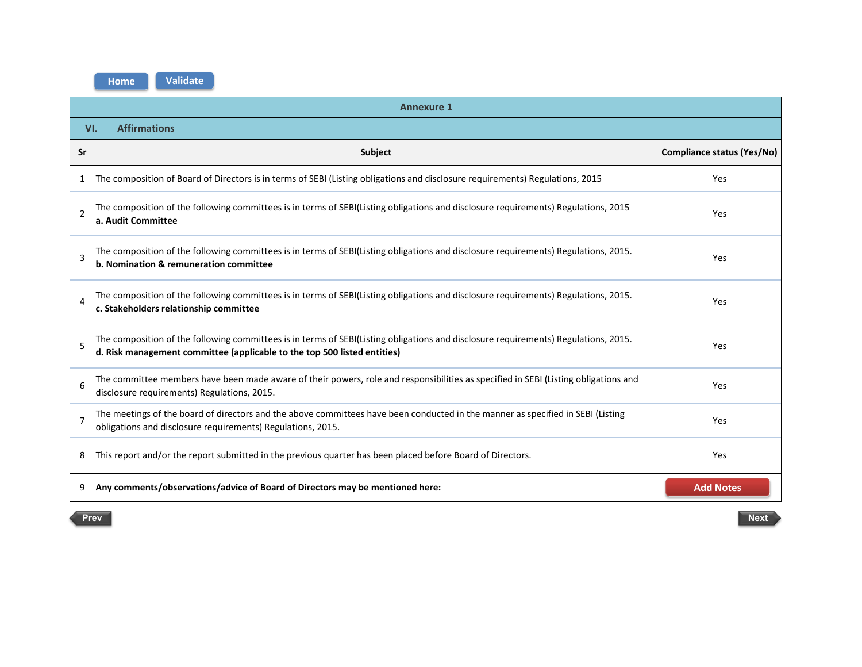**Home**

**Validate**

| <b>Annexure 1</b>          |                                                                                                                                                                                                                 |                                   |  |  |  |
|----------------------------|-----------------------------------------------------------------------------------------------------------------------------------------------------------------------------------------------------------------|-----------------------------------|--|--|--|
| <b>Affirmations</b><br>VI. |                                                                                                                                                                                                                 |                                   |  |  |  |
| Sr                         | Subject                                                                                                                                                                                                         | <b>Compliance status (Yes/No)</b> |  |  |  |
| 1                          | The composition of Board of Directors is in terms of SEBI (Listing obligations and disclosure requirements) Regulations, 2015                                                                                   | Yes                               |  |  |  |
| $\overline{2}$             | The composition of the following committees is in terms of SEBI(Listing obligations and disclosure requirements) Regulations, 2015<br>Yes<br>a. Audit Committee                                                 |                                   |  |  |  |
| $\overline{3}$             | The composition of the following committees is in terms of SEBI(Listing obligations and disclosure requirements) Regulations, 2015.<br>b. Nomination & remuneration committee                                   | Yes                               |  |  |  |
| $\Delta$                   | The composition of the following committees is in terms of SEBI(Listing obligations and disclosure requirements) Regulations, 2015.<br>c. Stakeholders relationship committee                                   | Yes                               |  |  |  |
| 5                          | The composition of the following committees is in terms of SEBI(Listing obligations and disclosure requirements) Regulations, 2015.<br>d. Risk management committee (applicable to the top 500 listed entities) | Yes                               |  |  |  |
| 6                          | The committee members have been made aware of their powers, role and responsibilities as specified in SEBI (Listing obligations and<br>disclosure requirements) Regulations, 2015.                              | Yes                               |  |  |  |
| $\overline{7}$             | The meetings of the board of directors and the above committees have been conducted in the manner as specified in SEBI (Listing<br>obligations and disclosure requirements) Regulations, 2015.                  | Yes                               |  |  |  |
| 8                          | This report and/or the report submitted in the previous quarter has been placed before Board of Directors.                                                                                                      | Yes                               |  |  |  |
| 9                          | Any comments/observations/advice of Board of Directors may be mentioned here:                                                                                                                                   | <b>Add Notes</b>                  |  |  |  |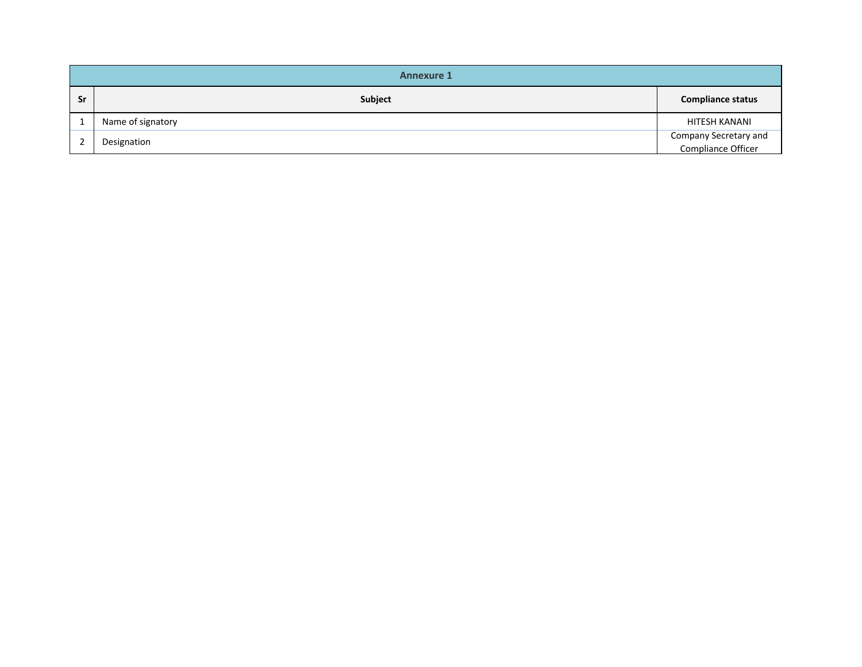| <b>Annexure 1</b> |                   |                                             |  |  |
|-------------------|-------------------|---------------------------------------------|--|--|
| Sr                | Subject           | <b>Compliance status</b>                    |  |  |
|                   | Name of signatory | HITESH KANANI                               |  |  |
|                   | Designation       | Company Secretary and<br>Compliance Officer |  |  |